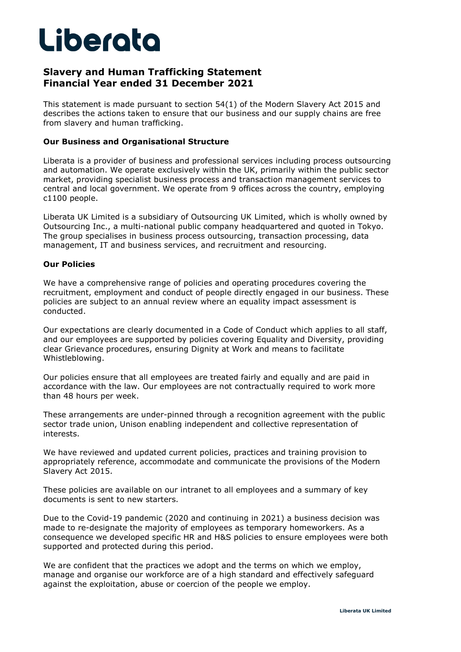# Liberata

## **Slavery and Human Trafficking Statement Financial Year ended 31 December 2021**

This statement is made pursuant to section 54(1) of the Modern Slavery Act 2015 and describes the actions taken to ensure that our business and our supply chains are free from slavery and human trafficking.

#### **Our Business and Organisational Structure**

Liberata is a provider of business and professional services including process outsourcing and automation. We operate exclusively within the UK, primarily within the public sector market, providing specialist business process and transaction management services to central and local government. We operate from 9 offices across the country, employing c1100 people.

Liberata UK Limited is a subsidiary of Outsourcing UK Limited, which is wholly owned by Outsourcing Inc., a multi-national public company headquartered and quoted in Tokyo. The group specialises in business process outsourcing, transaction processing, data management, IT and business services, and recruitment and resourcing.

### **Our Policies**

We have a comprehensive range of policies and operating procedures covering the recruitment, employment and conduct of people directly engaged in our business. These policies are subject to an annual review where an equality impact assessment is conducted.

Our expectations are clearly documented in a Code of Conduct which applies to all staff, and our employees are supported by policies covering Equality and Diversity, providing clear Grievance procedures, ensuring Dignity at Work and means to facilitate Whistleblowing.

Our policies ensure that all employees are treated fairly and equally and are paid in accordance with the law. Our employees are not contractually required to work more than 48 hours per week.

These arrangements are under-pinned through a recognition agreement with the public sector trade union, Unison enabling independent and collective representation of interests.

We have reviewed and updated current policies, practices and training provision to appropriately reference, accommodate and communicate the provisions of the Modern Slavery Act 2015.

These policies are available on our intranet to all employees and a summary of key documents is sent to new starters.

Due to the Covid-19 pandemic (2020 and continuing in 2021) a business decision was made to re-designate the majority of employees as temporary homeworkers. As a consequence we developed specific HR and H&S policies to ensure employees were both supported and protected during this period.

We are confident that the practices we adopt and the terms on which we employ, manage and organise our workforce are of a high standard and effectively safeguard against the exploitation, abuse or coercion of the people we employ.